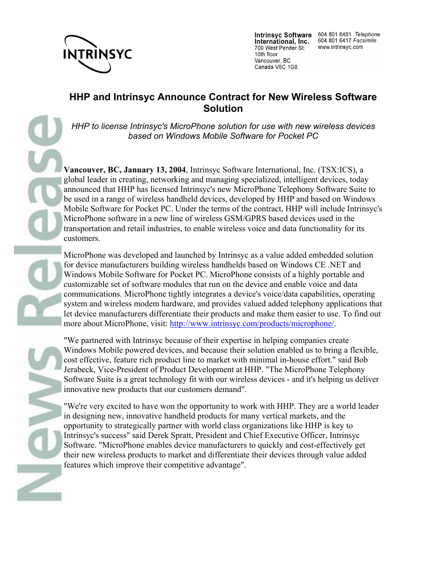

International, Inc. 700 West Pender St. 10th floor Vancouver, BC Canada V6C 1G8

Intrinsyc Software 604 801 6461 Telephone 604 801 6417 Facsimile www.intrinsyc.com

## **HHP and Intrinsyc Announce Contract for New Wireless Software Solution**

*HHP to license Intrinsyc's MicroPhone solution for use with new wireless devices based on Windows Mobile Software for Pocket PC*

**Vancouver, BC, January 13, 2004**, Intrinsyc Software International, Inc. (TSX:ICS), a global leader in creating, networking and managing specialized, intelligent devices, today announced that HHP has licensed Intrinsyc's new MicroPhone Telephony Software Suite to be used in a range of wireless handheld devices, developed by HHP and based on Windows Mobile Software for Pocket PC. Under the terms of the contract, HHP will include Intrinsyc's MicroPhone software in a new line of wireless GSM/GPRS based devices used in the transportation and retail industries, to enable wireless voice and data functionality for its customers.

MicroPhone was developed and launched by Intrinsyc as a value added embedded solution for device manufacturers building wireless handhelds based on Windows CE .NET and Windows Mobile Software for Pocket PC. MicroPhone consists of a highly portable and customizable set of software modules that run on the device and enable voice and data communications. MicroPhone tightly integrates a device's voice/data capabilities, operating system and wireless modem hardware, and provides valued added telephony applications that let device manufacturers differentiate their products and make them easier to use. To find out more about MicroPhone, visit: http://www.intrinsyc.com/products/microphone/.

"We partnered with Intrinsyc because of their expertise in helping companies create Windows Mobile powered devices, and because their solution enabled us to bring a flexible, cost effective, feature rich product line to market with minimal in-house effort." said Bob Jerabeck, Vice-President of Product Development at HHP. "The MicroPhone Telephony Software Suite is a great technology fit with our wireless devices - and it's helping us deliver innovative new products that our customers demand".

"We're very excited to have won the opportunity to work with HHP. They are a world leader in designing new, innovative handheld products for many vertical markets, and the opportunity to strategically partner with world class organizations like HHP is key to Intrinsyc's success" said Derek Spratt, President and Chief Executive Officer, Intrinsyc Software. "MicroPhone enables device manufacturers to quickly and cost-effectively get their new wireless products to market and differentiate their devices through value added features which improve their competitive advantage".